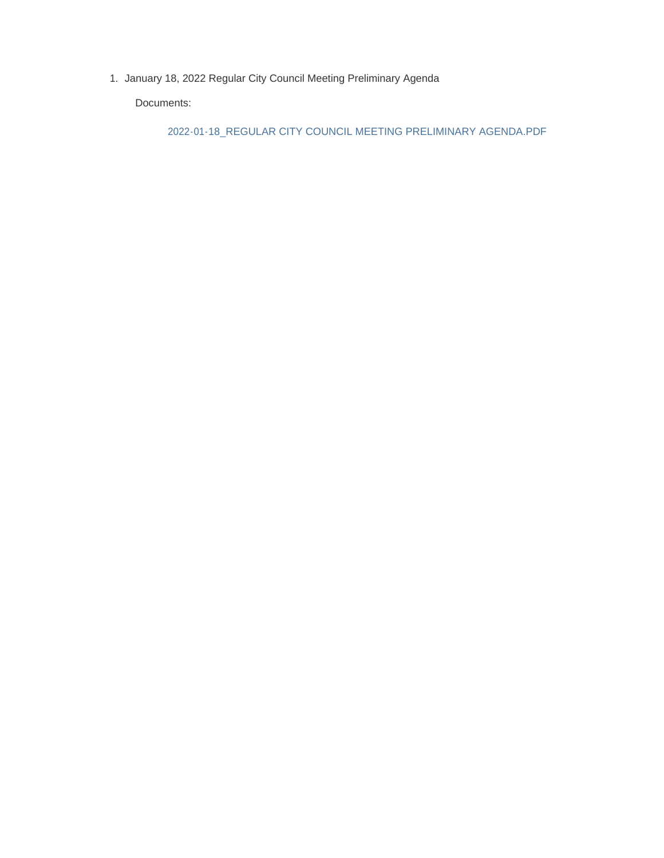1. January 18, 2022 Regular City Council Meeting Preliminary Agenda

Documents:

2022-01-18\_REGULAR CITY COUNCIL MEETING PRELIMINARY AGENDA.PDF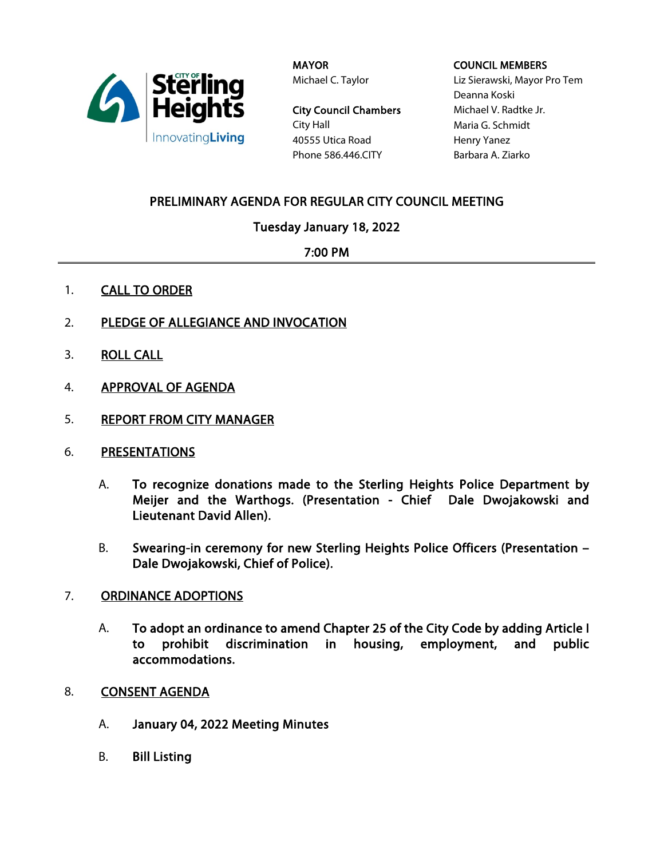

MAYOR Michael C. Taylor

City Council Chambers City Hall 40555 Utica Road Phone 586.446.CITY

### COUNCIL MEMBERS

Liz Sierawski, Mayor Pro Tem Deanna Koski Michael V. Radtke Jr. Maria G. Schmidt Henry Yanez Barbara A. Ziarko

# PRELIMINARY AGENDA FOR REGULAR CITY COUNCIL MEETING

## Tuesday January 18, 2022

## 7:00 PM

- 1. **CALL TO ORDER**
- 2. PLEDGE OF ALLEGIANCE AND INVOCATION
- 3. ROLL CALL
- 4. APPROVAL OF AGENDA
- 5. REPORT FROM CITY MANAGER
- 6. PRESENTATIONS
	- A. To recognize donations made to the Sterling Heights Police Department by Meijer and the Warthogs. (Presentation - Chief Dale Dwojakowski and Lieutenant David Allen).
	- B. Swearing-in ceremony for new Sterling Heights Police Officers (Presentation Dale Dwojakowski, Chief of Police).

## 7. ORDINANCE ADOPTIONS

- A. To adopt an ordinance to amend Chapter 25 of the City Code by adding Article I to prohibit discrimination in housing, employment, and public accommodations.
- 8. CONSENT AGENDA
	- A. January 04, 2022 Meeting Minutes
	- B. Bill Listing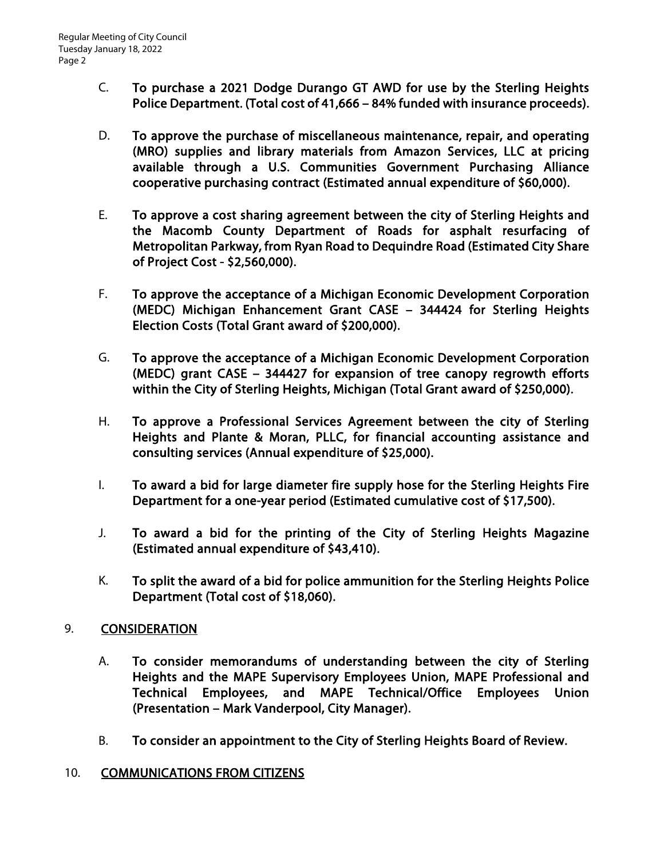- C. To purchase a 2021 Dodge Durango GT AWD for use by the Sterling Heights Police Department. (Total cost of 41,666 – 84% funded with insurance proceeds).
- D. To approve the purchase of miscellaneous maintenance, repair, and operating (MRO) supplies and library materials from Amazon Services, LLC at pricing available through a U.S. Communities Government Purchasing Alliance cooperative purchasing contract (Estimated annual expenditure of \$60,000).
- E. To approve a cost sharing agreement between the city of Sterling Heights and the Macomb County Department of Roads for asphalt resurfacing of Metropolitan Parkway, from Ryan Road to Dequindre Road (Estimated City Share of Project Cost - \$2,560,000).
- F. To approve the acceptance of a Michigan Economic Development Corporation (MEDC) Michigan Enhancement Grant CASE – 344424 for Sterling Heights Election Costs (Total Grant award of \$200,000).
- G. To approve the acceptance of a Michigan Economic Development Corporation (MEDC) grant CASE – 344427 for expansion of tree canopy regrowth efforts within the City of Sterling Heights, Michigan (Total Grant award of \$250,000).
- H. To approve a Professional Services Agreement between the city of Sterling Heights and Plante & Moran, PLLC, for financial accounting assistance and consulting services (Annual expenditure of \$25,000).
- I. To award a bid for large diameter fire supply hose for the Sterling Heights Fire Department for a one-year period (Estimated cumulative cost of \$17,500).
- J. To award a bid for the printing of the City of Sterling Heights Magazine (Estimated annual expenditure of \$43,410).
- K. To split the award of a bid for police ammunition for the Sterling Heights Police Department (Total cost of \$18,060).

# 9. CONSIDERATION

- A. To consider memorandums of understanding between the city of Sterling Heights and the MAPE Supervisory Employees Union, MAPE Professional and Technical Employees, and MAPE Technical/Office Employees Union (Presentation – Mark Vanderpool, City Manager).
- B. To consider an appointment to the City of Sterling Heights Board of Review.
- 10. COMMUNICATIONS FROM CITIZENS